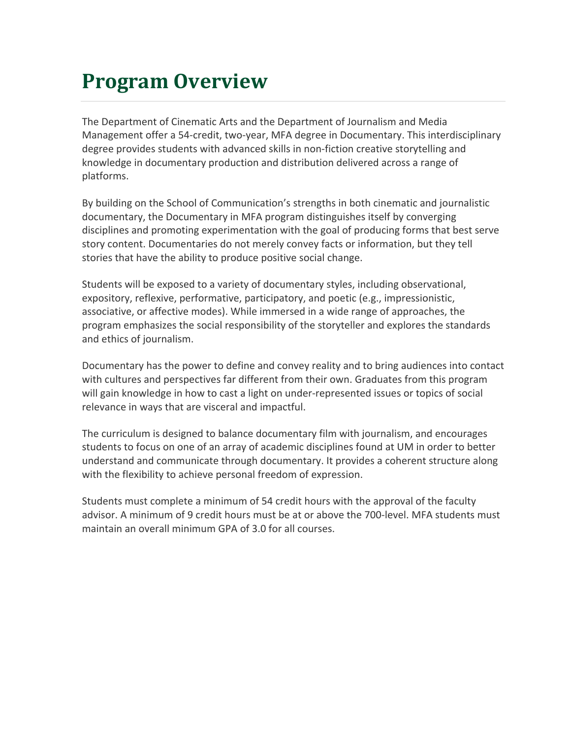### **Program Overview**

The Department of Cinematic Arts and the Department of Journalism and Media Management offer a 54-credit, two-year, MFA degree in Documentary. This interdisciplinary degree provides students with advanced skills in non-fiction creative storytelling and knowledge in documentary production and distribution delivered across a range of platforms.

By building on the School of Communication's strengths in both cinematic and journalistic documentary, the Documentary in MFA program distinguishes itself by converging disciplines and promoting experimentation with the goal of producing forms that best serve story content. Documentaries do not merely convey facts or information, but they tell stories that have the ability to produce positive social change.

Students will be exposed to a variety of documentary styles, including observational, expository, reflexive, performative, participatory, and poetic (e.g., impressionistic, associative, or affective modes). While immersed in a wide range of approaches, the program emphasizes the social responsibility of the storyteller and explores the standards and ethics of journalism.

Documentary has the power to define and convey reality and to bring audiences into contact with cultures and perspectives far different from their own. Graduates from this program will gain knowledge in how to cast a light on under-represented issues or topics of social relevance in ways that are visceral and impactful.

The curriculum is designed to balance documentary film with journalism, and encourages students to focus on one of an array of academic disciplines found at UM in order to better understand and communicate through documentary. It provides a coherent structure along with the flexibility to achieve personal freedom of expression.

Students must complete a minimum of 54 credit hours with the approval of the faculty advisor. A minimum of 9 credit hours must be at or above the 700-level. MFA students must maintain an overall minimum GPA of 3.0 for all courses.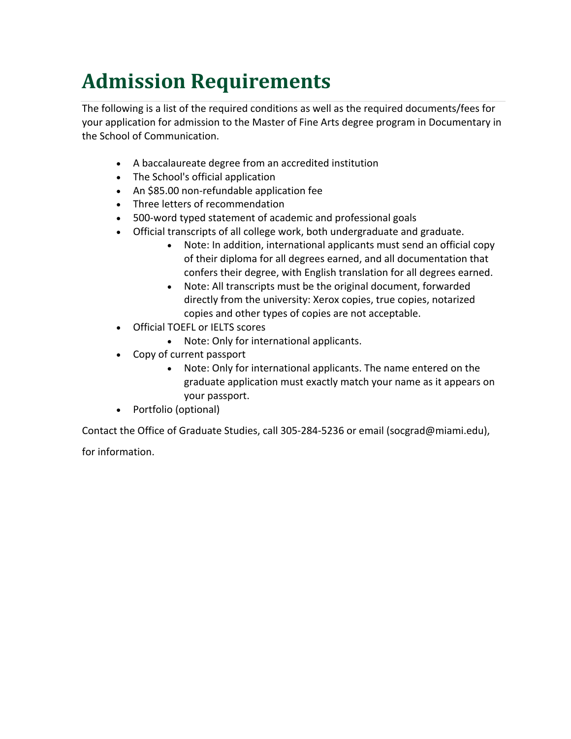# **Admission Requirements**

The following is a list of the required conditions as well as the required documents/fees for your application for admission to the Master of Fine Arts degree program in Documentary in the School of Communication.

- A baccalaureate degree from an accredited institution
- The School's official application
- An \$85.00 non-refundable application fee
- Three letters of recommendation
- 500-word typed statement of academic and professional goals
- Official transcripts of all college work, both undergraduate and graduate.
	- Note: In addition, international applicants must send an official copy of their diploma for all degrees earned, and all documentation that confers their degree, with English translation for all degrees earned.
	- Note: All transcripts must be the original document, forwarded directly from the university: Xerox copies, true copies, notarized copies and other types of copies are not acceptable.
- Official TOEFL or IELTS scores
	- Note: Only for international applicants.
- Copy of current passport
	- Note: Only for international applicants. The name entered on the graduate application must exactly match your name as it appears on your passport.
- Portfolio (optional)

Contact the Office of Graduate Studies, call 305-284-5236 or email (socgrad@miami.edu),

for information.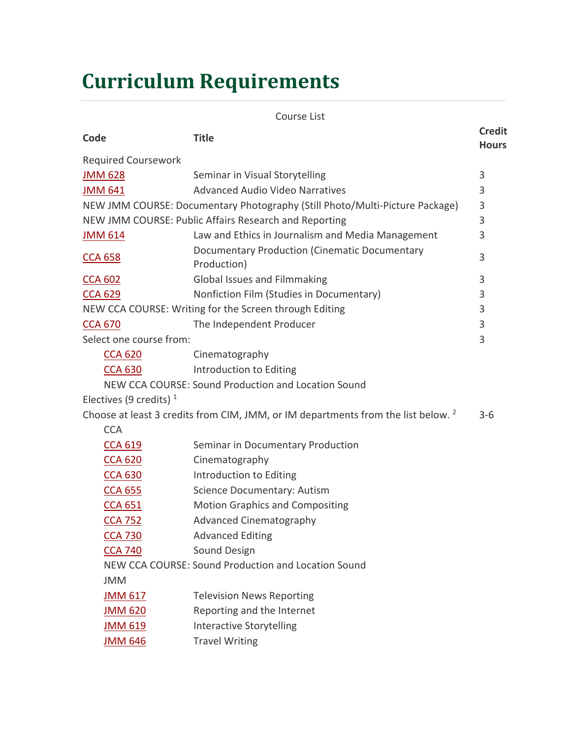# **Curriculum Requirements**

| Code                                                   | <b>Title</b>                                                                                 | <b>Credit</b><br><b>Hours</b> |  |  |
|--------------------------------------------------------|----------------------------------------------------------------------------------------------|-------------------------------|--|--|
| <b>Required Coursework</b>                             |                                                                                              |                               |  |  |
| <b>JMM 628</b>                                         | Seminar in Visual Storytelling                                                               | $\mathsf 3$                   |  |  |
| <b>JMM 641</b>                                         | <b>Advanced Audio Video Narratives</b>                                                       | 3                             |  |  |
|                                                        | NEW JMM COURSE: Documentary Photography (Still Photo/Multi-Picture Package)                  | 3                             |  |  |
| NEW JMM COURSE: Public Affairs Research and Reporting  |                                                                                              |                               |  |  |
| <b>JMM 614</b>                                         | Law and Ethics in Journalism and Media Management                                            | 3                             |  |  |
| <b>CCA 658</b>                                         | <b>Documentary Production (Cinematic Documentary</b><br>Production)                          | 3                             |  |  |
| <b>CCA 602</b>                                         | Global Issues and Filmmaking                                                                 | 3                             |  |  |
| <b>CCA 629</b>                                         | Nonfiction Film (Studies in Documentary)                                                     | 3                             |  |  |
| NEW CCA COURSE: Writing for the Screen through Editing |                                                                                              |                               |  |  |
| <b>CCA 670</b>                                         | The Independent Producer                                                                     | 3                             |  |  |
| Select one course from:                                |                                                                                              | 3                             |  |  |
| <b>CCA 620</b>                                         | Cinematography                                                                               |                               |  |  |
| <b>CCA 630</b>                                         | Introduction to Editing                                                                      |                               |  |  |
|                                                        | NEW CCA COURSE: Sound Production and Location Sound                                          |                               |  |  |
| Electives (9 credits) $1$                              |                                                                                              |                               |  |  |
|                                                        | Choose at least 3 credits from CIM, JMM, or IM departments from the list below. <sup>2</sup> | $3-6$                         |  |  |
| <b>CCA</b>                                             |                                                                                              |                               |  |  |
| <b>CCA 619</b>                                         | Seminar in Documentary Production                                                            |                               |  |  |
| <b>CCA 620</b>                                         | Cinematography                                                                               |                               |  |  |
| <b>CCA 630</b>                                         | Introduction to Editing                                                                      |                               |  |  |
| <b>CCA 655</b>                                         | <b>Science Documentary: Autism</b>                                                           |                               |  |  |
| <b>CCA 651</b>                                         | <b>Motion Graphics and Compositing</b>                                                       |                               |  |  |
| <b>CCA 752</b>                                         | <b>Advanced Cinematography</b>                                                               |                               |  |  |
| <b>CCA 730</b>                                         | <b>Advanced Editing</b>                                                                      |                               |  |  |
| <b>CCA 740</b>                                         | Sound Design                                                                                 |                               |  |  |
|                                                        | NEW CCA COURSE: Sound Production and Location Sound                                          |                               |  |  |
| <b>JMM</b>                                             |                                                                                              |                               |  |  |
| JMM 617                                                | <b>Television News Reporting</b>                                                             |                               |  |  |
| <b>JMM 620</b>                                         | Reporting and the Internet                                                                   |                               |  |  |
| <b>JMM 619</b>                                         | <b>Interactive Storytelling</b>                                                              |                               |  |  |
| <b>JMM 646</b>                                         | <b>Travel Writing</b>                                                                        |                               |  |  |
|                                                        |                                                                                              |                               |  |  |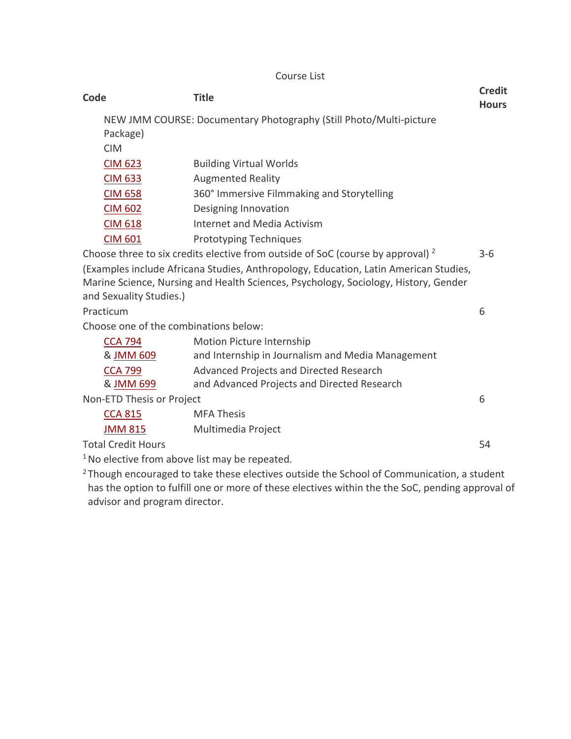#### Course List

| Code                                                                                                  |                           | <b>Title</b>                                                                                                                                                                | <b>Credit</b><br><b>Hours</b> |
|-------------------------------------------------------------------------------------------------------|---------------------------|-----------------------------------------------------------------------------------------------------------------------------------------------------------------------------|-------------------------------|
|                                                                                                       | Package)<br><b>CIM</b>    | NEW JMM COURSE: Documentary Photography (Still Photo/Multi-picture                                                                                                          |                               |
|                                                                                                       | <b>CIM 623</b>            | <b>Building Virtual Worlds</b>                                                                                                                                              |                               |
|                                                                                                       | <b>CIM 633</b>            | <b>Augmented Reality</b>                                                                                                                                                    |                               |
|                                                                                                       | <b>CIM 658</b>            | 360° Immersive Filmmaking and Storytelling                                                                                                                                  |                               |
|                                                                                                       | <b>CIM 602</b>            | Designing Innovation                                                                                                                                                        |                               |
|                                                                                                       | <b>CIM 618</b>            | <b>Internet and Media Activism</b>                                                                                                                                          |                               |
|                                                                                                       | <b>CIM 601</b>            | <b>Prototyping Techniques</b>                                                                                                                                               |                               |
| Choose three to six credits elective from outside of SoC (course by approval) <sup>2</sup><br>$3 - 6$ |                           |                                                                                                                                                                             |                               |
|                                                                                                       | and Sexuality Studies.)   | (Examples include Africana Studies, Anthropology, Education, Latin American Studies,<br>Marine Science, Nursing and Health Sciences, Psychology, Sociology, History, Gender |                               |
|                                                                                                       | Practicum                 |                                                                                                                                                                             | 6                             |
| Choose one of the combinations below:                                                                 |                           |                                                                                                                                                                             |                               |
|                                                                                                       | <b>CCA 794</b>            | Motion Picture Internship                                                                                                                                                   |                               |
|                                                                                                       | & JMM 609                 | and Internship in Journalism and Media Management                                                                                                                           |                               |
|                                                                                                       | <b>CCA 799</b>            | Advanced Projects and Directed Research                                                                                                                                     |                               |
|                                                                                                       | & JMM 699                 | and Advanced Projects and Directed Research                                                                                                                                 |                               |
|                                                                                                       | Non-ETD Thesis or Project |                                                                                                                                                                             |                               |
|                                                                                                       | <b>CCA 815</b>            | <b>MFA Thesis</b>                                                                                                                                                           |                               |
|                                                                                                       | <b>JMM 815</b>            | Multimedia Project                                                                                                                                                          |                               |
|                                                                                                       | <b>Total Credit Hours</b> |                                                                                                                                                                             | 54                            |
|                                                                                                       |                           |                                                                                                                                                                             |                               |

<sup>1</sup> No elective from above list may be repeated.

<sup>2</sup> Though encouraged to take these electives outside the School of Communication, a student has the option to fulfill one or more of these electives within the the SoC, pending approval of advisor and program director.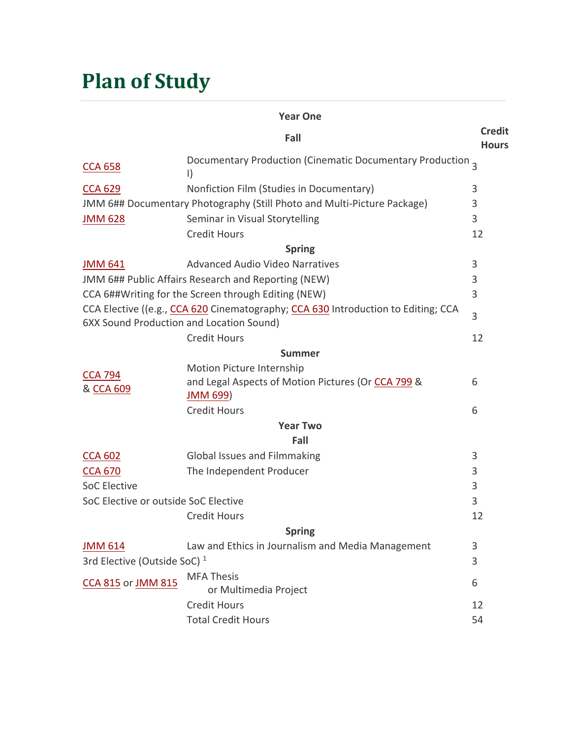## **Plan of Study**

| <b>Year One</b>                                                                                                               |                                                                       |                               |  |  |
|-------------------------------------------------------------------------------------------------------------------------------|-----------------------------------------------------------------------|-------------------------------|--|--|
|                                                                                                                               | Fall                                                                  | <b>Credit</b><br><b>Hours</b> |  |  |
| <b>CCA 658</b>                                                                                                                | Documentary Production (Cinematic Documentary Production 3<br>$\vert$ |                               |  |  |
| <b>CCA 629</b>                                                                                                                | Nonfiction Film (Studies in Documentary)                              | 3                             |  |  |
| JMM 6## Documentary Photography (Still Photo and Multi-Picture Package)                                                       |                                                                       |                               |  |  |
| <b>JMM 628</b>                                                                                                                | Seminar in Visual Storytelling                                        | 3                             |  |  |
|                                                                                                                               | <b>Credit Hours</b>                                                   | 12                            |  |  |
|                                                                                                                               | <b>Spring</b>                                                         |                               |  |  |
| <b>JMM 641</b>                                                                                                                | <b>Advanced Audio Video Narratives</b>                                | 3                             |  |  |
|                                                                                                                               | JMM 6## Public Affairs Research and Reporting (NEW)                   | 3                             |  |  |
|                                                                                                                               | CCA 6##Writing for the Screen through Editing (NEW)                   | 3                             |  |  |
| CCA Elective ((e.g., CCA 620 Cinematography; CCA 630 Introduction to Editing; CCA<br>6XX Sound Production and Location Sound) |                                                                       |                               |  |  |
|                                                                                                                               | <b>Credit Hours</b>                                                   | 12                            |  |  |
|                                                                                                                               | <b>Summer</b>                                                         |                               |  |  |
|                                                                                                                               | Motion Picture Internship                                             |                               |  |  |
| <b>CCA 794</b><br>& CCA 609                                                                                                   | and Legal Aspects of Motion Pictures (Or CCA 799 &<br><b>JMM 699)</b> | 6                             |  |  |
|                                                                                                                               | <b>Credit Hours</b>                                                   | 6                             |  |  |
|                                                                                                                               | <b>Year Two</b>                                                       |                               |  |  |
|                                                                                                                               | Fall                                                                  |                               |  |  |
| <b>CCA 602</b>                                                                                                                | Global Issues and Filmmaking                                          | 3                             |  |  |
| <b>CCA 670</b>                                                                                                                | The Independent Producer                                              | 3                             |  |  |
| <b>SoC Elective</b>                                                                                                           |                                                                       | 3                             |  |  |
| SoC Elective or outside SoC Elective                                                                                          |                                                                       |                               |  |  |
|                                                                                                                               | <b>Credit Hours</b>                                                   | 12                            |  |  |
|                                                                                                                               | <b>Spring</b>                                                         |                               |  |  |
| <b>JMM 614</b>                                                                                                                | Law and Ethics in Journalism and Media Management                     | 3                             |  |  |
| 3rd Elective (Outside SoC) <sup>1</sup>                                                                                       |                                                                       |                               |  |  |
| <b>CCA 815 or JMM 815</b>                                                                                                     | <b>MFA Thesis</b><br>or Multimedia Project                            | 6                             |  |  |
|                                                                                                                               | <b>Credit Hours</b>                                                   | 12                            |  |  |
|                                                                                                                               | <b>Total Credit Hours</b>                                             | 54                            |  |  |